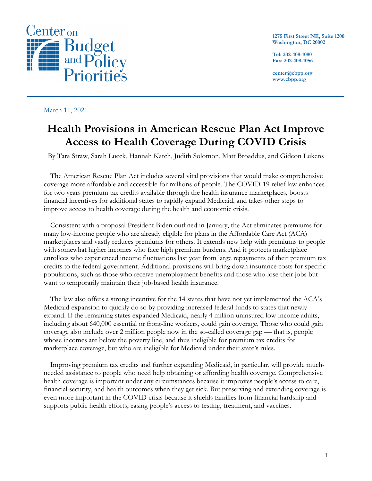

**1275 First Street NE, Suite 1200 Washington, DC 20002**

**Tel: 202-408-1080 Fax: 202-408-1056**

**center@cbpp.org www.cbpp.org**

#### March 11, 2021

# **Health Provisions in American Rescue Plan Act Improve Access to Health Coverage During COVID Crisis**

By Tara Straw, Sarah Lueck, Hannah Katch, Judith Solomon, Matt Broaddus, and Gideon Lukens

The American Rescue Plan Act includes several vital provisions that would make comprehensive coverage more affordable and accessible for millions of people. The COVID-19 relief law enhances for two years premium tax credits available through the health insurance marketplaces, boosts financial incentives for additional states to rapidly expand Medicaid, and takes other steps to improve access to health coverage during the health and economic crisis.

Consistent with a proposal President Biden outlined in January, the Act eliminates premiums for many low-income people who are already eligible for plans in the Affordable Care Act (ACA) marketplaces and vastly reduces premiums for others. It extends new help with premiums to people with somewhat higher incomes who face high premium burdens. And it protects marketplace enrollees who experienced income fluctuations last year from large repayments of their premium tax credits to the federal government. Additional provisions will bring down insurance costs for specific populations, such as those who receive unemployment benefits and those who lose their jobs but want to temporarily maintain their job-based health insurance.

The law also offers a strong incentive for the 14 states that have not yet implemented the ACA's Medicaid expansion to quickly do so by providing increased federal funds to states that newly expand. If the remaining states expanded Medicaid, nearly 4 million uninsured low-income adults, including about 640,000 essential or front-line workers, could gain coverage. Those who could gain coverage also include over 2 million people now in the so-called coverage gap — that is, people whose incomes are below the poverty line, and thus ineligible for premium tax credits for marketplace coverage, but who are ineligible for Medicaid under their state's rules.

Improving premium tax credits and further expanding Medicaid, in particular, will provide muchneeded assistance to people who need help obtaining or affording health coverage. Comprehensive health coverage is important under any circumstances because it improves people's access to care, financial security, and health outcomes when they get sick. But preserving and extending coverage is even more important in the COVID crisis because it shields families from financial hardship and supports public health efforts, easing people's access to testing, treatment, and vaccines.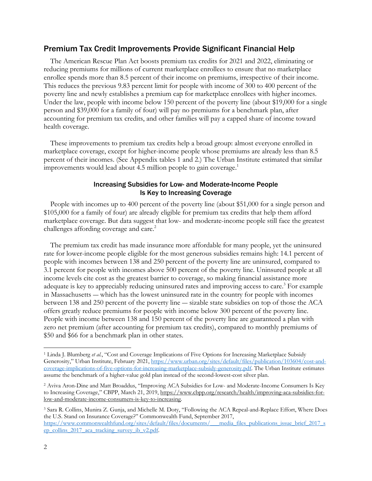### Premium Tax Credit Improvements Provide Significant Financial Help

The American Rescue Plan Act boosts premium tax credits for 2021 and 2022, eliminating or reducing premiums for millions of current marketplace enrollees to ensure that no marketplace enrollee spends more than 8.5 percent of their income on premiums, irrespective of their income. This reduces the previous 9.83 percent limit for people with income of 300 to 400 percent of the poverty line and newly establishes a premium cap for marketplace enrollees with higher incomes. Under the law, people with income below 150 percent of the poverty line (about \$19,000 for a single person and \$39,000 for a family of four) will pay no premiums for a benchmark plan, after accounting for premium tax credits, and other families will pay a capped share of income toward health coverage.

These improvements to premium tax credits help a broad group: almost everyone enrolled in marketplace coverage, except for higher-income people whose premiums are already less than 8.5 percent of their incomes. (See Appendix tables 1 and 2.) The Urban Institute estimated that similar improvements would lead about 4.5 million people to gain coverage.<sup>1</sup>

#### Increasing Subsidies for Low- and Moderate-Income People Is Key to Increasing Coverage

People with incomes up to 400 percent of the poverty line (about \$51,000 for a single person and \$105,000 for a family of four) are already eligible for premium tax credits that help them afford marketplace coverage. But data suggest that low- and moderate-income people still face the greatest challenges affording coverage and care.<sup>2</sup>

The premium tax credit has made insurance more affordable for many people, yet the uninsured rate for lower-income people eligible for the most generous subsidies remains high: 14.1 percent of people with incomes between 138 and 250 percent of the poverty line are uninsured, compared to 3.1 percent for people with incomes above 500 percent of the poverty line. Uninsured people at all income levels cite cost as the greatest barrier to coverage, so making financial assistance more adequate is key to appreciably reducing uninsured rates and improving access to care.<sup>3</sup> For example in Massachusetts ― which has the lowest uninsured rate in the country for people with incomes between 138 and 250 percent of the poverty line ― sizable state subsidies on top of those the ACA offers greatly reduce premiums for people with income below 300 percent of the poverty line. People with income between 138 and 150 percent of the poverty line are guaranteed a plan with zero net premium (after accounting for premium tax credits), compared to monthly premiums of \$50 and \$66 for a benchmark plan in other states.

<sup>1</sup> Linda J. Blumberg *et al.*, "Cost and Coverage Implications of Five Options for Increasing Marketplace Subsidy Generosity," Urban Institute, February 2021, https://www.urban.org/sites/default/files/publication/103604/cost-andcoverage-implications-of-five-options-for-increasing-marketplace-subsidy-generosity.pdf. The Urban Institute estimates assume the benchmark of a higher-value gold plan instead of the second-lowest-cost silver plan.

<sup>2</sup> Aviva Aron-Dine and Matt Broaddus, "Improving ACA Subsidies for Low- and Moderate-Income Consumers Is Key to Increasing Coverage," CBPP, March 21, 2019, https://www.cbpp.org/research/health/improving-aca-subsidies-forlow-and-moderate-income-consumers-is-key-to-increasing.

<sup>3</sup> Sara R. Collins, Munira Z. Gunja, and Michelle M. Doty, "Following the ACA Repeal-and-Replace Effort, Where Does the U.S. Stand on Insurance Coverage?" Commonwealth Fund, September 2017, https://www.commonwealthfund.org/sites/default/files/documents/\_\_\_media\_files\_publications\_issue\_brief\_2017\_s ep\_collins\_2017\_aca\_tracking\_survey\_ib\_v2.pdf.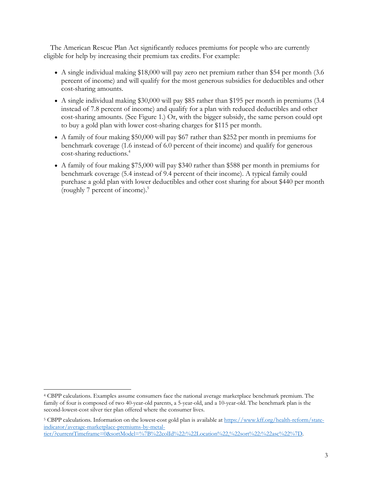The American Rescue Plan Act significantly reduces premiums for people who are currently eligible for help by increasing their premium tax credits. For example:

- A single individual making \$18,000 will pay zero net premium rather than \$54 per month (3.6 percent of income) and will qualify for the most generous subsidies for deductibles and other cost-sharing amounts.
- A single individual making \$30,000 will pay \$85 rather than \$195 per month in premiums (3.4) instead of 7.8 percent of income) and qualify for a plan with reduced deductibles and other cost-sharing amounts. (See Figure 1.) Or, with the bigger subsidy, the same person could opt to buy a gold plan with lower cost-sharing charges for \$115 per month.
- A family of four making \$50,000 will pay \$67 rather than \$252 per month in premiums for benchmark coverage (1.6 instead of 6.0 percent of their income) and qualify for generous cost-sharing reductions. 4
- A family of four making \$75,000 will pay \$340 rather than \$588 per month in premiums for benchmark coverage (5.4 instead of 9.4 percent of their income). A typical family could purchase a gold plan with lower deductibles and other cost sharing for about \$440 per month (roughly 7 percent of income). 5

<sup>4</sup> CBPP calculations. Examples assume consumers face the national average marketplace benchmark premium. The family of four is composed of two 40-year-old parents, a 5-year-old, and a 10-year-old. The benchmark plan is the second-lowest-cost silver tier plan offered where the consumer lives.

<sup>5</sup> CBPP calculations. Information on the lowest-cost gold plan is available at https://www.kff.org/health-reform/stateindicator/average-marketplace-premiums-by-metaltier/?currentTimeframe=0&sortModel=%7B%22colId%22:%22Location%22,%22sort%22:%22asc%22%7D.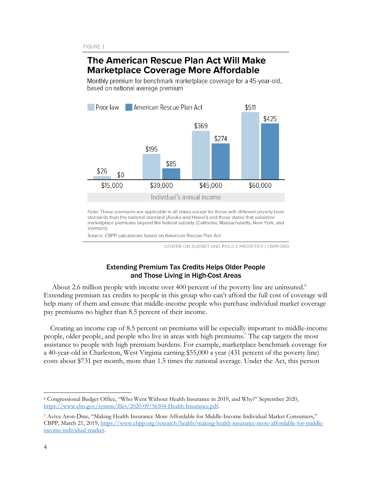## The American Rescue Plan Act Will Make **Marketplace Coverage More Affordable**

Monthly premium for benchmark marketplace coverage for a 45-year-old, based on national average premium



Note: These premiums are applicable in all states except for those with different poverty level standards than the national standard (Alaska and Hawai'i) and those states that subsidize marketplace premiums beyond the federal subsidy (California, Massachusetts, New York, and Vermont).

Source: CBPP calculations based on American Rescue Plan Act

CENTER ON BUDGET AND POLICY PRIORITIES | CBPP.ORG

#### Extending Premium Tax Credits Helps Older People and Those Living in High-Cost Areas

About 2.6 million people with income over 400 percent of the poverty line are uninsured.<sup>6</sup> Extending premium tax credits to people in this group who can't afford the full cost of coverage will help many of them and ensure that middle-income people who purchase individual market coverage pay premiums no higher than 8.5 percent of their income.

Creating an income cap of 8.5 percent on premiums will be especially important to middle-income people, older people, and people who live in areas with high premiums. <sup>7</sup> The cap targets the most assistance to people with high premium burdens. For example, marketplace benchmark coverage for a 40-year-old in Charleston, West Virginia earning \$55,000 a year (431 percent of the poverty line) costs about \$731 per month, more than 1.5 times the national average. Under the Act, this person

<sup>6</sup> Congressional Budget Office, "Who Went Without Health Insurance in 2019, and Why?" September 2020, https://www.cbo.gov/system/files/2020-09/56504-Health-Insurance.pdf.

<sup>7</sup> Aviva Aron-Dine, "Making Health Insurance More Affordable for Middle-Income Individual Market Consumers," CBPP, March 21, 2019, https://www.cbpp.org/research/health/making-health-insurance-more-affordable-for-middleincome-individual-market.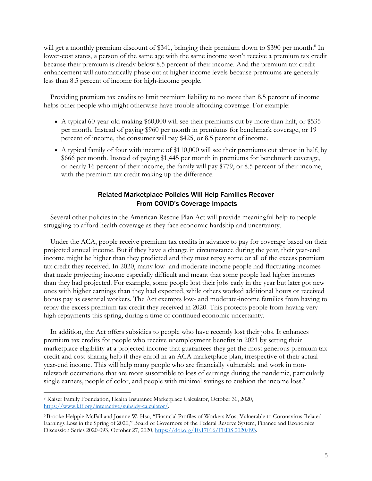will get a monthly premium discount of \$341, bringing their premium down to \$390 per month.<sup>8</sup> In lower-cost states, a person of the same age with the same income won't receive a premium tax credit because their premium is already below 8.5 percent of their income. And the premium tax credit enhancement will automatically phase out at higher income levels because premiums are generally less than 8.5 percent of income for high-income people.

Providing premium tax credits to limit premium liability to no more than 8.5 percent of income helps other people who might otherwise have trouble affording coverage. For example:

- A typical 60-year-old making \$60,000 will see their premiums cut by more than half, or \$535 per month. Instead of paying \$960 per month in premiums for benchmark coverage, or 19 percent of income, the consumer will pay \$425, or 8.5 percent of income.
- A typical family of four with income of \$110,000 will see their premiums cut almost in half, by \$666 per month. Instead of paying \$1,445 per month in premiums for benchmark coverage, or nearly 16 percent of their income, the family will pay \$779, or 8.5 percent of their income, with the premium tax credit making up the difference.

### Related Marketplace Policies Will Help Families Recover From COVID's Coverage Impacts

Several other policies in the American Rescue Plan Act will provide meaningful help to people struggling to afford health coverage as they face economic hardship and uncertainty.

Under the ACA, people receive premium tax credits in advance to pay for coverage based on their projected annual income. But if they have a change in circumstance during the year, their year-end income might be higher than they predicted and they must repay some or all of the excess premium tax credit they received. In 2020, many low- and moderate-income people had fluctuating incomes that made projecting income especially difficult and meant that some people had higher incomes than they had projected. For example, some people lost their jobs early in the year but later got new ones with higher earnings than they had expected, while others worked additional hours or received bonus pay as essential workers. The Act exempts low- and moderate-income families from having to repay the excess premium tax credit they received in 2020. This protects people from having very high repayments this spring, during a time of continued economic uncertainty.

In addition, the Act offers subsidies to people who have recently lost their jobs. It enhances premium tax credits for people who receive unemployment benefits in 2021 by setting their marketplace eligibility at a projected income that guarantees they get the most generous premium tax credit and cost-sharing help if they enroll in an ACA marketplace plan, irrespective of their actual year-end income. This will help many people who are financially vulnerable and work in nontelework occupations that are more susceptible to loss of earnings during the pandemic, particularly single earners, people of color, and people with minimal savings to cushion the income loss.<sup>9</sup>

<sup>8</sup> Kaiser Family Foundation, Health Insurance Marketplace Calculator, October 30, 2020, https://www.kff.org/interactive/subsidy-calculator/.

<sup>9</sup> Brooke Helppie-McFall and Joanne W. Hsu, "Financial Profiles of Workers Most Vulnerable to Coronavirus-Related Earnings Loss in the Spring of 2020," Board of Governors of the Federal Reserve System, Finance and Economics Discussion Series 2020-093, October 27, 2020, https://doi.org/10.17016/FEDS.2020.093.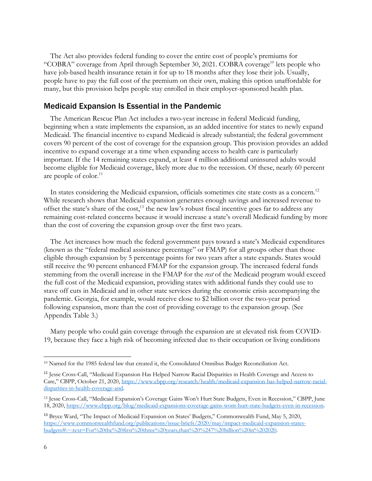The Act also provides federal funding to cover the entire cost of people's premiums for "COBRA" coverage from April through September 30, 2021. COBRA coverage<sup>10</sup> lets people who have job-based health insurance retain it for up to 18 months after they lose their job. Usually, people have to pay the full cost of the premium on their own, making this option unaffordable for many, but this provision helps people stay enrolled in their employer-sponsored health plan.

### Medicaid Expansion Is Essential in the Pandemic

The American Rescue Plan Act includes a two-year increase in federal Medicaid funding, beginning when a state implements the expansion, as an added incentive for states to newly expand Medicaid. The financial incentive to expand Medicaid is already substantial; the federal government covers 90 percent of the cost of coverage for the expansion group. This provision provides an added incentive to expand coverage at a time when expanding access to health care is particularly important. If the 14 remaining states expand, at least 4 million additional uninsured adults would become eligible for Medicaid coverage, likely more due to the recession. Of these, nearly 60 percent are people of  $color.11$ 

In states considering the Medicaid expansion, officials sometimes cite state costs as a concern.<sup>12</sup> While research shows that Medicaid expansion generates enough savings and increased revenue to offset the state's share of the cost,<sup>13</sup> the new law's robust fiscal incentive goes far to address any remaining cost-related concerns because it would increase a state's overall Medicaid funding by more than the cost of covering the expansion group over the first two years.

The Act increases how much the federal government pays toward a state's Medicaid expenditures (known as the "federal medical assistance percentage" or FMAP) for all groups other than those eligible through expansion by 5 percentage points for two years after a state expands. States would still receive the 90 percent enhanced FMAP for the expansion group. The increased federal funds stemming from the overall increase in the FMAP for the *rest* of the Medicaid program would exceed the full cost of the Medicaid expansion, providing states with additional funds they could use to stave off cuts in Medicaid and in other state services during the economic crisis accompanying the pandemic. Georgia, for example, would receive close to \$2 billion over the two-year period following expansion, more than the cost of providing coverage to the expansion group. (See Appendix Table 3.)

Many people who could gain coverage through the expansion are at elevated risk from COVID-19, because they face a high risk of becoming infected due to their occupation or living conditions

<sup>&</sup>lt;sup>10</sup> Named for the 1985 federal law that created it, the Consolidated Omnibus Budget Reconciliation Act.

<sup>11</sup> Jesse Cross-Call, "Medicaid Expansion Has Helped Narrow Racial Disparities in Health Coverage and Access to Care," CBPP, October 21, 2020, https://www.cbpp.org/research/health/medicaid-expansion-has-helped-narrow-racialdisparities-in-health-coverage-and.

<sup>12</sup> Jesse Cross-Call, "Medicaid Expansion's Coverage Gains Won't Hurt State Budgets, Even in Recession," CBPP, June 18, 2020, https://www.cbpp.org/blog/medicaid-expansions-coverage-gains-wont-hurt-state-budgets-even-in-recession.

<sup>13</sup> Bryce Ward, "The Impact of Medicaid Expansion on States' Budgets," Commonwealth Fund, May 5, 2020, https://www.commonwealthfund.org/publications/issue-briefs/2020/may/impact-medicaid-expansion-statesbudgets#:~:text=For%20the%20first%20three%20years,than%20%247%20billion%20in%202020.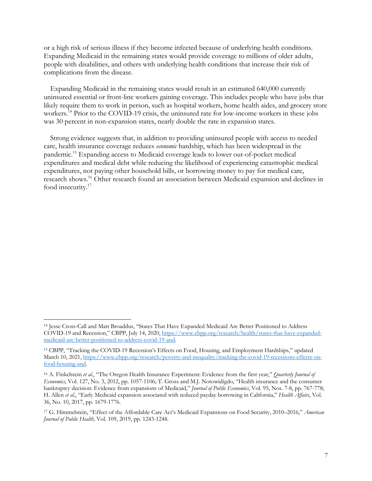or a high risk of serious illness if they become infected because of underlying health conditions. Expanding Medicaid in the remaining states would provide coverage to millions of older adults, people with disabilities, and others with underlying health conditions that increase their risk of complications from the disease.

Expanding Medicaid in the remaining states would result in an estimated 640,000 currently uninsured essential or front-line workers gaining coverage. This includes people who have jobs that likely require them to work in person, such as hospital workers, home health aides, and grocery store workers.<sup>14</sup> Prior to the COVID-19 crisis, the uninsured rate for low-income workers in these jobs was 30 percent in non-expansion states, nearly double the rate in expansion states.

Strong evidence suggests that, in addition to providing uninsured people with access to needed care, health insurance coverage reduces *economic* hardship, which has been widespread in the pandemic.15 Expanding access to Medicaid coverage leads to lower out-of-pocket medical expenditures and medical debt while reducing the likelihood of experiencing catastrophic medical expenditures, not paying other household bills, or borrowing money to pay for medical care, research shows.16 Other research found an association between Medicaid expansion and declines in food insecurity.<sup>17</sup>

<sup>14</sup> Jesse Cross-Call and Matt Broaddus, "States That Have Expanded Medicaid Are Better Positioned to Address COVID-19 and Recession," CBPP, July 14, 2020, https://www.cbpp.org/research/health/states-that-have-expandedmedicaid-are-better-positioned-to-address-covid-19-and.

<sup>15</sup> CBPP, "Tracking the COVID-19 Recession's Effects on Food, Housing, and Employment Hardships," updated March 10, 2021, https://www.cbpp.org/research/poverty-and-inequality/tracking-the-covid-19-recessions-effects-onfood-housing-and.

<sup>16</sup> A. Finkelstein *et al.*, "The Oregon Health Insurance Experiment: Evidence from the first year," *Quarterly Journal of Economics*, Vol. 127, No. 3, 2012, pp. 1057-1106; T. Gross and M.J. Notowidigdo, "Health insurance and the consumer bankruptcy decision: Evidence from expansions of Medicaid," *Journal of Public Economics*, Vol. 95, Nos. 7-8, pp. 767-778; H. Allen *et al*., "Early Medicaid expansion associated with reduced payday borrowing in California," *Health Affairs*, Vol. 36, No. 10, 2017, pp. 1679-1776.

<sup>17</sup> G. Himmelstein, "Effect of the Affordable Care Act's Medicaid Expansions on Food Security, 2010–2016," *American Journal of Public Health*, Vol. 109, 2019, pp. 1243-1248.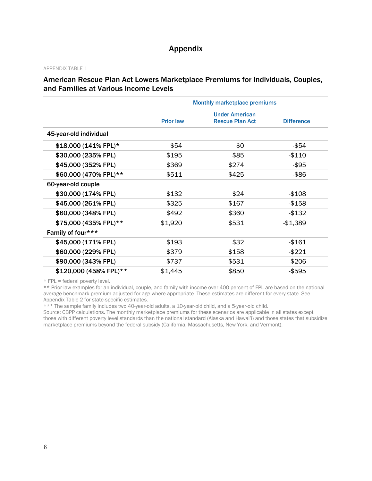## Appendix

#### APPENDIX TABLE 1

### American Rescue Plan Act Lowers Marketplace Premiums for Individuals, Couples, and Families at Various Income Levels

|                        |                  | <b>Monthly marketplace premiums</b>             |                   |
|------------------------|------------------|-------------------------------------------------|-------------------|
|                        | <b>Prior law</b> | <b>Under American</b><br><b>Rescue Plan Act</b> | <b>Difference</b> |
| 45-year-old individual |                  |                                                 |                   |
| \$18,000 (141% FPL)*   | \$54             | \$0                                             | -\$54             |
| \$30,000 (235% FPL)    | \$195            | \$85                                            | $-$110$           |
| \$45,000 (352% FPL)    | \$369            | \$274                                           | -\$95             |
| \$60,000 (470% FPL)**  | \$511            | \$425                                           | $-$ \$86          |
| 60-year-old couple     |                  |                                                 |                   |
| \$30,000 (174% FPL)    | \$132            | \$24                                            | $-$108$           |
| \$45,000 (261% FPL)    | \$325            | \$167                                           | $-$ \$158         |
| \$60,000 (348% FPL)    | \$492            | \$360                                           | $-$132$           |
| \$75,000 (435% FPL)**  | \$1,920          | \$531                                           | $-$1,389$         |
| Family of four***      |                  |                                                 |                   |
| \$45,000 (171% FPL)    | \$193            | \$32                                            | $-$161$           |
| \$60,000 (229% FPL)    | \$379            | \$158                                           | $-$221$           |
| \$90,000 (343% FPL)    | \$737            | \$531                                           | $-$206$           |
| \$120,000 (458% FPL)** | \$1,445          | \$850                                           | $-$ \$595         |

\* FPL = federal poverty level.

\*\* Prior-law examples for an individual, couple, and family with income over 400 percent of FPL are based on the national average benchmark premium adjusted for age where appropriate. These estimates are different for every state. See Appendix Table 2 for state-specific estimates.

\*\*\* The sample family includes two 40-year-old adults, a 10-year-old child, and a 5-year-old child.

Source: CBPP calculations. The monthly marketplace premiums for these scenarios are applicable in all states except those with different poverty level standards than the national standard (Alaska and Hawai'i) and those states that subsidize marketplace premiums beyond the federal subsidy (California, Massachusetts, New York, and Vermont).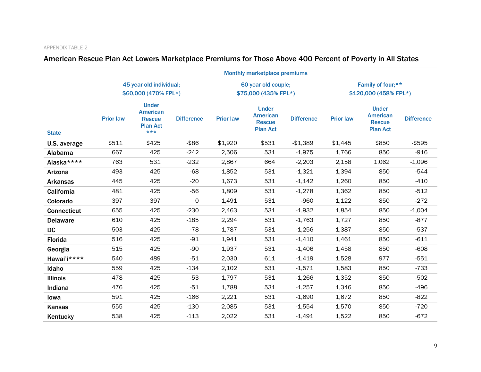# American Rescue Plan Act Lowers Marketplace Premiums for Those Above 400 Percent of Poverty in All States

|                    | <b>Monthly marketplace premiums</b>             |                                                                              |                   |                                             |                                                                     |                   |                                            |                                                                     |                   |
|--------------------|-------------------------------------------------|------------------------------------------------------------------------------|-------------------|---------------------------------------------|---------------------------------------------------------------------|-------------------|--------------------------------------------|---------------------------------------------------------------------|-------------------|
|                    | 45-year-old individual;<br>\$60,000 (470% FPL*) |                                                                              |                   | 60-year-old couple;<br>\$75,000 (435% FPL*) |                                                                     |                   | Family of four;**<br>\$120,000 (458% FPL*) |                                                                     |                   |
| <b>State</b>       | <b>Prior law</b>                                | <b>Under</b><br><b>American</b><br><b>Rescue</b><br><b>Plan Act</b><br>$***$ | <b>Difference</b> | <b>Prior law</b>                            | <b>Under</b><br><b>American</b><br><b>Rescue</b><br><b>Plan Act</b> | <b>Difference</b> | <b>Prior law</b>                           | <b>Under</b><br><b>American</b><br><b>Rescue</b><br><b>Plan Act</b> | <b>Difference</b> |
| U.S. average       | \$511                                           | \$425                                                                        | $-$ \$86          | \$1,920                                     | \$531                                                               | $-$1,389$         | \$1,445                                    | \$850                                                               | $-$ \$595         |
| Alabama            | 667                                             | 425                                                                          | $-242$            | 2,506                                       | 531                                                                 | $-1,975$          | 1,766                                      | 850                                                                 | $-916$            |
| Alaska****         | 763                                             | 531                                                                          | $-232$            | 2,867                                       | 664                                                                 | $-2,203$          | 2,158                                      | 1,062                                                               | $-1,096$          |
| Arizona            | 493                                             | 425                                                                          | $-68$             | 1,852                                       | 531                                                                 | $-1,321$          | 1,394                                      | 850                                                                 | $-544$            |
| <b>Arkansas</b>    | 445                                             | 425                                                                          | $-20$             | 1,673                                       | 531                                                                 | $-1,142$          | 1,260                                      | 850                                                                 | $-410$            |
| California         | 481                                             | 425                                                                          | $-56$             | 1,809                                       | 531                                                                 | $-1,278$          | 1,362                                      | 850                                                                 | $-512$            |
| Colorado           | 397                                             | 397                                                                          | 0                 | 1,491                                       | 531                                                                 | $-960$            | 1,122                                      | 850                                                                 | $-272$            |
| <b>Connecticut</b> | 655                                             | 425                                                                          | $-230$            | 2,463                                       | 531                                                                 | $-1,932$          | 1,854                                      | 850                                                                 | $-1,004$          |
| <b>Delaware</b>    | 610                                             | 425                                                                          | $-185$            | 2,294                                       | 531                                                                 | $-1,763$          | 1,727                                      | 850                                                                 | $-877$            |
| <b>DC</b>          | 503                                             | 425                                                                          | $-78$             | 1,787                                       | 531                                                                 | $-1,256$          | 1,387                                      | 850                                                                 | $-537$            |
| Florida            | 516                                             | 425                                                                          | $-91$             | 1,941                                       | 531                                                                 | $-1,410$          | 1,461                                      | 850                                                                 | $-611$            |
| Georgia            | 515                                             | 425                                                                          | $-90$             | 1,937                                       | 531                                                                 | $-1,406$          | 1,458                                      | 850                                                                 | $-608$            |
| Hawai'i****        | 540                                             | 489                                                                          | $-51$             | 2,030                                       | 611                                                                 | $-1,419$          | 1,528                                      | 977                                                                 | $-551$            |
| Idaho              | 559                                             | 425                                                                          | $-134$            | 2,102                                       | 531                                                                 | $-1,571$          | 1,583                                      | 850                                                                 | $-733$            |
| <b>Illinois</b>    | 478                                             | 425                                                                          | $-53$             | 1,797                                       | 531                                                                 | $-1,266$          | 1,352                                      | 850                                                                 | $-502$            |
| Indiana            | 476                                             | 425                                                                          | $-51$             | 1,788                                       | 531                                                                 | $-1,257$          | 1,346                                      | 850                                                                 | $-496$            |
| lowa               | 591                                             | 425                                                                          | $-166$            | 2,221                                       | 531                                                                 | $-1,690$          | 1,672                                      | 850                                                                 | $-822$            |
| Kansas             | 555                                             | 425                                                                          | $-130$            | 2,085                                       | 531                                                                 | $-1,554$          | 1,570                                      | 850                                                                 | $-720$            |
| Kentucky           | 538                                             | 425                                                                          | $-113$            | 2,022                                       | 531                                                                 | $-1,491$          | 1,522                                      | 850                                                                 | $-672$            |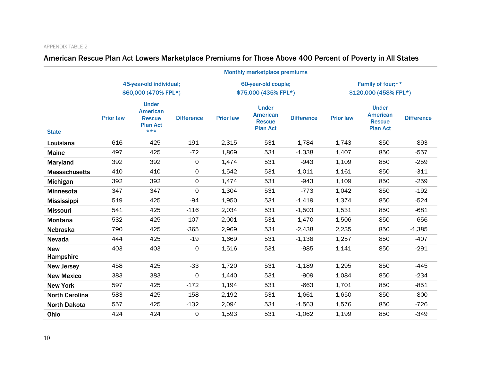# American Rescue Plan Act Lowers Marketplace Premiums for Those Above 400 Percent of Poverty in All States

|                         | <b>Monthly marketplace premiums</b>             |                                                                              |                     |                     |                                                                     |                   |                   |                                                                     |                   |
|-------------------------|-------------------------------------------------|------------------------------------------------------------------------------|---------------------|---------------------|---------------------------------------------------------------------|-------------------|-------------------|---------------------------------------------------------------------|-------------------|
|                         | 45-year-old individual;<br>\$60,000 (470% FPL*) |                                                                              |                     | 60-year-old couple; |                                                                     |                   | Family of four;** |                                                                     |                   |
|                         |                                                 |                                                                              |                     |                     | \$75,000 (435% FPL*)                                                |                   |                   | \$120,000 (458% FPL*)                                               |                   |
| <b>State</b>            | <b>Prior law</b>                                | <b>Under</b><br><b>American</b><br><b>Rescue</b><br><b>Plan Act</b><br>$***$ | <b>Difference</b>   | <b>Prior law</b>    | <b>Under</b><br><b>American</b><br><b>Rescue</b><br><b>Plan Act</b> | <b>Difference</b> | <b>Prior law</b>  | <b>Under</b><br><b>American</b><br><b>Rescue</b><br><b>Plan Act</b> | <b>Difference</b> |
| Louisiana               | 616                                             | 425                                                                          | $-191$              | 2,315               | 531                                                                 | $-1,784$          | 1,743             | 850                                                                 | $-893$            |
| <b>Maine</b>            | 497                                             | 425                                                                          | $-72$               | 1,869               | 531                                                                 | $-1,338$          | 1,407             | 850                                                                 | $-557$            |
| Maryland                | 392                                             | 392                                                                          | $\mathsf{O}$        | 1,474               | 531                                                                 | $-943$            | 1,109             | 850                                                                 | $-259$            |
| <b>Massachusetts</b>    | 410                                             | 410                                                                          | 0                   | 1,542               | 531                                                                 | $-1,011$          | 1,161             | 850                                                                 | $-311$            |
| Michigan                | 392                                             | 392                                                                          | $\mathsf{O}$        | 1,474               | 531                                                                 | $-943$            | 1,109             | 850                                                                 | $-259$            |
| Minnesota               | 347                                             | 347                                                                          | $\mathsf{O}$        | 1,304               | 531                                                                 | $-773$            | 1,042             | 850                                                                 | $-192$            |
| <b>Mississippi</b>      | 519                                             | 425                                                                          | $-94$               | 1,950               | 531                                                                 | $-1,419$          | 1,374             | 850                                                                 | $-524$            |
| <b>Missouri</b>         | 541                                             | 425                                                                          | $-116$              | 2,034               | 531                                                                 | $-1,503$          | 1,531             | 850                                                                 | $-681$            |
| <b>Montana</b>          | 532                                             | 425                                                                          | $-107$              | 2,001               | 531                                                                 | $-1,470$          | 1,506             | 850                                                                 | $-656$            |
| <b>Nebraska</b>         | 790                                             | 425                                                                          | $-365$              | 2,969               | 531                                                                 | $-2,438$          | 2,235             | 850                                                                 | $-1,385$          |
| Nevada                  | 444                                             | 425                                                                          | $-19$               | 1,669               | 531                                                                 | $-1,138$          | 1,257             | 850                                                                 | $-407$            |
| <b>New</b><br>Hampshire | 403                                             | 403                                                                          | $\mathsf{O}\xspace$ | 1,516               | 531                                                                 | $-985$            | 1,141             | 850                                                                 | $-291$            |
| <b>New Jersey</b>       | 458                                             | 425                                                                          | $-33$               | 1,720               | 531                                                                 | $-1,189$          | 1,295             | 850                                                                 | $-445$            |
| <b>New Mexico</b>       | 383                                             | 383                                                                          | $\mathbf 0$         | 1,440               | 531                                                                 | $-909$            | 1,084             | 850                                                                 | $-234$            |
| <b>New York</b>         | 597                                             | 425                                                                          | $-172$              | 1,194               | 531                                                                 | $-663$            | 1,701             | 850                                                                 | $-851$            |
| <b>North Carolina</b>   | 583                                             | 425                                                                          | $-158$              | 2,192               | 531                                                                 | $-1,661$          | 1,650             | 850                                                                 | $-800$            |
| <b>North Dakota</b>     | 557                                             | 425                                                                          | $-132$              | 2,094               | 531                                                                 | $-1,563$          | 1,576             | 850                                                                 | $-726$            |
| Ohio                    | 424                                             | 424                                                                          | 0                   | 1,593               | 531                                                                 | $-1,062$          | 1,199             | 850                                                                 | $-349$            |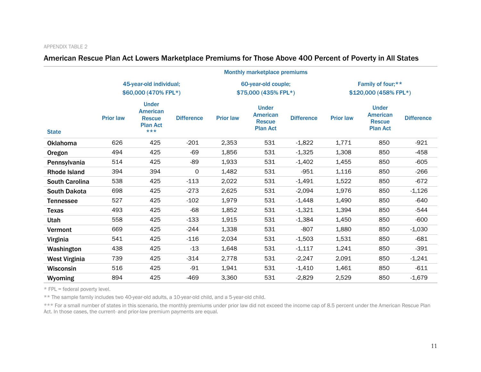## American Rescue Plan Act Lowers Marketplace Premiums for Those Above 400 Percent of Poverty in All States

|                       | <b>Monthly marketplace premiums</b>             |                                                                              |                     |                                             |                                                                     |                   |                                            |                                                                     |                   |
|-----------------------|-------------------------------------------------|------------------------------------------------------------------------------|---------------------|---------------------------------------------|---------------------------------------------------------------------|-------------------|--------------------------------------------|---------------------------------------------------------------------|-------------------|
|                       | 45-year-old individual;<br>\$60,000 (470% FPL*) |                                                                              |                     | 60-year-old couple;<br>\$75,000 (435% FPL*) |                                                                     |                   | Family of four;**<br>\$120,000 (458% FPL*) |                                                                     |                   |
| <b>State</b>          | <b>Prior law</b>                                | <b>Under</b><br><b>American</b><br><b>Rescue</b><br><b>Plan Act</b><br>$***$ | <b>Difference</b>   | <b>Prior law</b>                            | <b>Under</b><br><b>American</b><br><b>Rescue</b><br><b>Plan Act</b> | <b>Difference</b> | <b>Prior law</b>                           | <b>Under</b><br><b>American</b><br><b>Rescue</b><br><b>Plan Act</b> | <b>Difference</b> |
| <b>Oklahoma</b>       | 626                                             | 425                                                                          | $-201$              | 2,353                                       | 531                                                                 | $-1,822$          | 1,771                                      | 850                                                                 | $-921$            |
| Oregon                | 494                                             | 425                                                                          | $-69$               | 1,856                                       | 531                                                                 | $-1,325$          | 1,308                                      | 850                                                                 | $-458$            |
| Pennsylvania          | 514                                             | 425                                                                          | $-89$               | 1,933                                       | 531                                                                 | $-1,402$          | 1,455                                      | 850                                                                 | $-605$            |
| <b>Rhode Island</b>   | 394                                             | 394                                                                          | $\mathsf{O}\xspace$ | 1,482                                       | 531                                                                 | $-951$            | 1,116                                      | 850                                                                 | $-266$            |
| <b>South Carolina</b> | 538                                             | 425                                                                          | $-113$              | 2,022                                       | 531                                                                 | $-1,491$          | 1,522                                      | 850                                                                 | $-672$            |
| <b>South Dakota</b>   | 698                                             | 425                                                                          | $-273$              | 2,625                                       | 531                                                                 | $-2,094$          | 1,976                                      | 850                                                                 | $-1,126$          |
| <b>Tennessee</b>      | 527                                             | 425                                                                          | $-102$              | 1,979                                       | 531                                                                 | $-1,448$          | 1,490                                      | 850                                                                 | $-640$            |
| <b>Texas</b>          | 493                                             | 425                                                                          | $-68$               | 1,852                                       | 531                                                                 | $-1,321$          | 1,394                                      | 850                                                                 | $-544$            |
| Utah                  | 558                                             | 425                                                                          | $-133$              | 1,915                                       | 531                                                                 | $-1,384$          | 1,450                                      | 850                                                                 | $-600$            |
| Vermont               | 669                                             | 425                                                                          | $-244$              | 1,338                                       | 531                                                                 | $-807$            | 1,880                                      | 850                                                                 | $-1,030$          |
| Virginia              | 541                                             | 425                                                                          | $-116$              | 2,034                                       | 531                                                                 | $-1,503$          | 1,531                                      | 850                                                                 | $-681$            |
| Washington            | 438                                             | 425                                                                          | $-13$               | 1,648                                       | 531                                                                 | $-1,117$          | 1,241                                      | 850                                                                 | $-391$            |
| West Virginia         | 739                                             | 425                                                                          | $-314$              | 2,778                                       | 531                                                                 | $-2,247$          | 2,091                                      | 850                                                                 | $-1,241$          |
| <b>Wisconsin</b>      | 516                                             | 425                                                                          | $-91$               | 1,941                                       | 531                                                                 | $-1,410$          | 1,461                                      | 850                                                                 | $-611$            |
| Wyoming               | 894                                             | 425                                                                          | $-469$              | 3,360                                       | 531                                                                 | $-2,829$          | 2,529                                      | 850                                                                 | $-1,679$          |

\* FPL = federal poverty level.

\*\* The sample family includes two 40-year-old adults, a 10-year-old child, and a 5-year-old child.

\*\*\* For a small number of states in this scenario, the monthly premiums under prior law did not exceed the income cap of 8.5 percent under the American Rescue Plan Act. In those cases, the current- and prior-law premium payments are equal.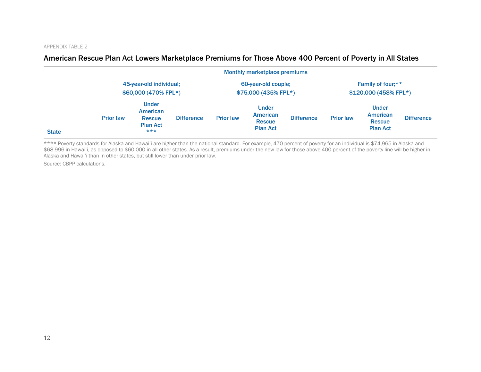### American Rescue Plan Act Lowers Marketplace Premiums for Those Above 400 Percent of Poverty in All States

|              |                  |                                                                       |                   |                     | <b>Monthly marketplace premiums</b>                                 |                   |                   |                                                              |                   |
|--------------|------------------|-----------------------------------------------------------------------|-------------------|---------------------|---------------------------------------------------------------------|-------------------|-------------------|--------------------------------------------------------------|-------------------|
|              |                  | 45-year-old individual;<br>\$60,000 (470% FPL*)                       |                   | 60-year-old couple; |                                                                     |                   | Family of four;** |                                                              |                   |
|              |                  |                                                                       |                   |                     | \$75,000 (435% FPL*)                                                |                   |                   | \$120,000 (458% FPL*)                                        |                   |
| <b>State</b> | <b>Prior law</b> | <b>Under</b><br>American<br><b>Rescue</b><br><b>Plan Act</b><br>$***$ | <b>Difference</b> | <b>Prior law</b>    | <b>Under</b><br><b>American</b><br><b>Rescue</b><br><b>Plan Act</b> | <b>Difference</b> | <b>Prior law</b>  | <b>Under</b><br>American<br><b>Rescue</b><br><b>Plan Act</b> | <b>Difference</b> |

\*\*\*\* Poverty standards for Alaska and Hawai'i are higher than the national standard. For example, 470 percent of poverty for an individual is \$74,965 in Alaska and \$68,996 in Hawai'i, as opposed to \$60,000 in all other states. As a result, premiums under the new law for those above 400 percent of the poverty line will be higher in Alaska and Hawai'i than in other states, but still lower than under prior law.

Source: CBPP calculations.